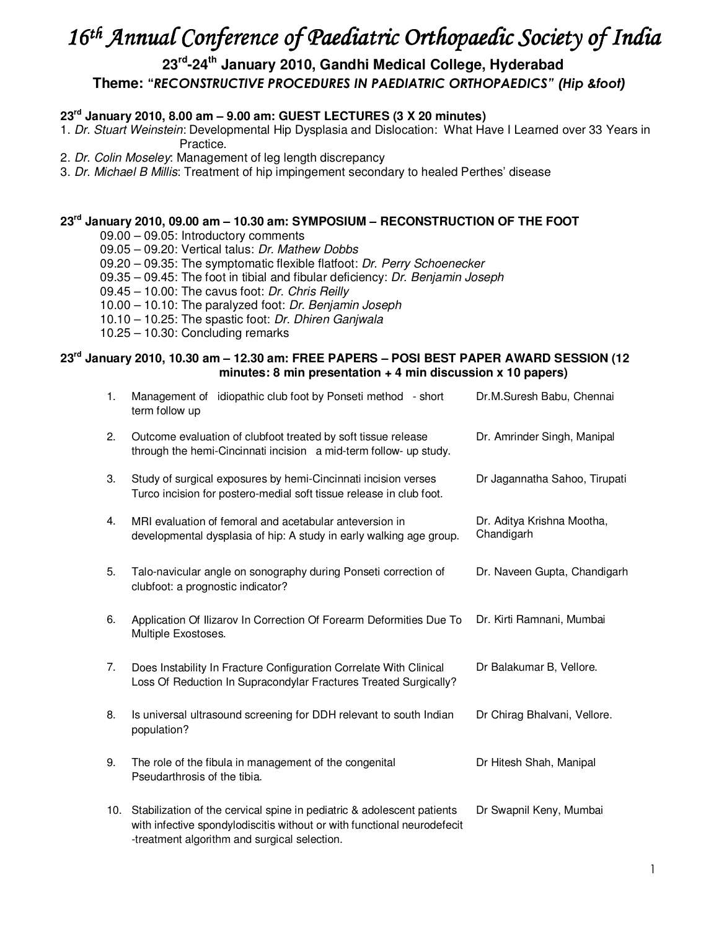# *16th Annual Conference of Paediatric Orthopaedic Society of India*

# **23rd-24th January 2010, Gandhi Medical College, Hyderabad Theme: "***RECONSTRUCTIVE PROCEDURES IN PAEDIATRIC ORTHOPAEDICS" (Hip &foot)*

## **23rd January 2010, 8.00 am – 9.00 am: GUEST LECTURES (3 X 20 minutes)**

1. Dr. Stuart Weinstein: Developmental Hip Dysplasia and Dislocation: What Have I Learned over 33 Years in Practice.

- 2. Dr. Colin Moseley: Management of leg length discrepancy
- 3. Dr. Michael B Millis: Treatment of hip impingement secondary to healed Perthes' disease

## **23rd January 2010, 09.00 am – 10.30 am: SYMPOSIUM – RECONSTRUCTION OF THE FOOT**

09.00 – 09.05: Introductory comments

09.05 – 09.20: Vertical talus: Dr. Mathew Dobbs

09.20 – 09.35: The symptomatic flexible flatfoot: Dr. Perry Schoenecker

- 09.35 09.45: The foot in tibial and fibular deficiency: Dr. Benjamin Joseph
- 09.45 10.00: The cavus foot: Dr. Chris Reilly

10.00 – 10.10: The paralyzed foot: Dr. Benjamin Joseph

10.10 – 10.25: The spastic foot: Dr. Dhiren Ganjwala

10.25 – 10.30: Concluding remarks

#### **23rd January 2010, 10.30 am – 12.30 am: FREE PAPERS – POSI BEST PAPER AWARD SESSION (12 minutes: 8 min presentation + 4 min discussion x 10 papers)**

| 1. | Management of idiopathic club foot by Ponseti method - short<br>term follow up                                                                                                                        | Dr.M.Suresh Babu, Chennai                |
|----|-------------------------------------------------------------------------------------------------------------------------------------------------------------------------------------------------------|------------------------------------------|
| 2. | Outcome evaluation of clubfoot treated by soft tissue release<br>through the hemi-Cincinnati incision a mid-term follow- up study.                                                                    | Dr. Amrinder Singh, Manipal              |
| 3. | Study of surgical exposures by hemi-Cincinnati incision verses<br>Turco incision for postero-medial soft tissue release in club foot.                                                                 | Dr Jagannatha Sahoo, Tirupati            |
| 4. | MRI evaluation of femoral and acetabular anteversion in<br>developmental dysplasia of hip: A study in early walking age group.                                                                        | Dr. Aditya Krishna Mootha,<br>Chandigarh |
| 5. | Talo-navicular angle on sonography during Ponseti correction of<br>clubfoot: a prognostic indicator?                                                                                                  | Dr. Naveen Gupta, Chandigarh             |
| 6. | Application Of Ilizarov In Correction Of Forearm Deformities Due To<br>Multiple Exostoses.                                                                                                            | Dr. Kirti Ramnani, Mumbai                |
| 7. | Does Instability In Fracture Configuration Correlate With Clinical<br>Loss Of Reduction In Supracondylar Fractures Treated Surgically?                                                                | Dr Balakumar B, Vellore.                 |
| 8. | Is universal ultrasound screening for DDH relevant to south Indian<br>population?                                                                                                                     | Dr Chirag Bhalvani, Vellore.             |
| 9. | The role of the fibula in management of the congenital<br>Pseudarthrosis of the tibia.                                                                                                                | Dr Hitesh Shah, Manipal                  |
|    | 10. Stabilization of the cervical spine in pediatric & adolescent patients<br>with infective spondylodiscitis without or with functional neurodefecit<br>-treatment algorithm and surgical selection. | Dr Swapnil Keny, Mumbai                  |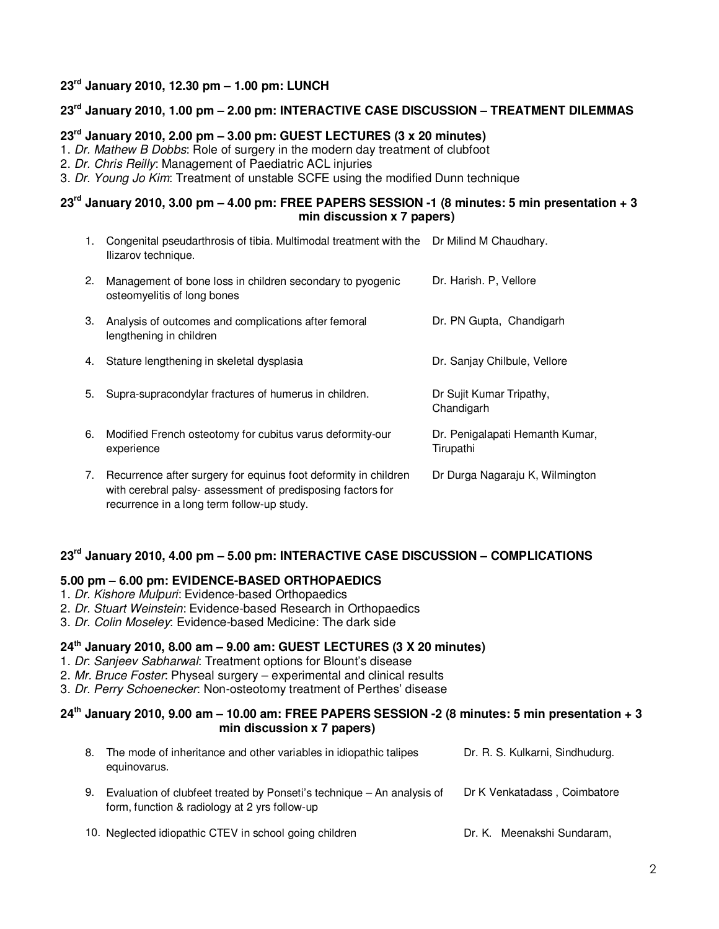## **23rd January 2010, 12.30 pm – 1.00 pm: LUNCH**

## **23rd January 2010, 1.00 pm – 2.00 pm: INTERACTIVE CASE DISCUSSION – TREATMENT DILEMMAS**

## **23rd January 2010, 2.00 pm – 3.00 pm: GUEST LECTURES (3 x 20 minutes)**

1. Dr. Mathew B Dobbs: Role of surgery in the modern day treatment of clubfoot

2. Dr. Chris Reilly: Management of Paediatric ACL injuries

3. Dr. Young Jo Kim: Treatment of unstable SCFE using the modified Dunn technique

## **23rd January 2010, 3.00 pm – 4.00 pm: FREE PAPERS SESSION -1 (8 minutes: 5 min presentation + 3 min discussion x 7 papers)**

- 1. Congenital pseudarthrosis of tibia. Multimodal treatment with the Dr Milind M Chaudhary. Ilizarov technique.
- 2. Management of bone loss in children secondary to pyogenic osteomyelitis of long bones Dr. Harish. P, Vellore 3. Analysis of outcomes and complications after femoral lengthening in children Dr. PN Gupta, Chandigarh 4. Stature lengthening in skeletal dysplasia **Dr. Sanjay Chilbule**, Vellore 5. Supra-supracondylar fractures of humerus in children. Dr Sujit Kumar Tripathy, **Chandigarh** 6. Modified French osteotomy for cubitus varus deformity-our experience Dr. Penigalapati Hemanth Kumar, Tirupathi 7. Recurrence after surgery for equinus foot deformity in children Dr Durga Nagaraju K, Wilmington
- with cerebral palsy- assessment of predisposing factors for recurrence in a long term follow-up study.

## **23rd January 2010, 4.00 pm – 5.00 pm: INTERACTIVE CASE DISCUSSION – COMPLICATIONS**

## **5.00 pm – 6.00 pm: EVIDENCE-BASED ORTHOPAEDICS**

- 1. Dr. Kishore Mulpuri: Evidence-based Orthopaedics
- 2. Dr. Stuart Weinstein: Evidence-based Research in Orthopaedics
- 3. Dr. Colin Moseley: Evidence-based Medicine: The dark side

## **24th January 2010, 8.00 am – 9.00 am: GUEST LECTURES (3 X 20 minutes)**

- 1. Dr: Sanjeev Sabharwal: Treatment options for Blount's disease
- 2. Mr. Bruce Foster: Physeal surgery experimental and clinical results
- 3. Dr. Perry Schoenecker: Non-osteotomy treatment of Perthes' disease

## **24th January 2010, 9.00 am – 10.00 am: FREE PAPERS SESSION -2 (8 minutes: 5 min presentation + 3 min discussion x 7 papers)**

| 8. | The mode of inheritance and other variables in idiopathic talipes<br>equinovarus.                                       | Dr. R. S. Kulkarni, Sindhudurg. |
|----|-------------------------------------------------------------------------------------------------------------------------|---------------------------------|
| 9. | Evaluation of clubfeet treated by Ponseti's technique - An analysis of<br>form, function & radiology at 2 yrs follow-up | Dr K Venkatadass, Coimbatore    |
|    | 10. Neglected idiopathic CTEV in school going children                                                                  | Dr. K. Meenakshi Sundaram,      |